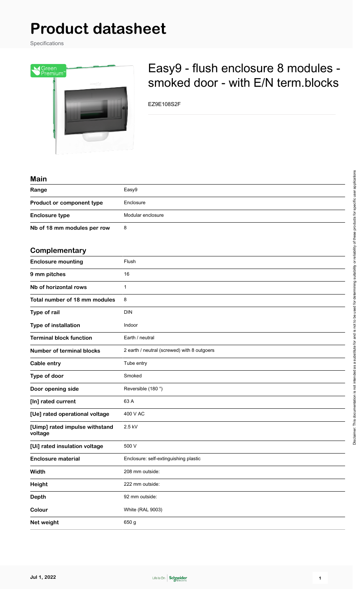# **Product datasheet**

Specifications



# Easy9 - flush enclosure 8 modules smoked door - with E/N term.blocks

EZ9E108S2F

| Main                                      |                                             |
|-------------------------------------------|---------------------------------------------|
| Range                                     | Easy9                                       |
| Product or component type                 | Enclosure                                   |
| <b>Enclosure type</b>                     | Modular enclosure                           |
| Nb of 18 mm modules per row               | 8                                           |
|                                           |                                             |
| Complementary                             |                                             |
| <b>Enclosure mounting</b>                 | Flush                                       |
| 9 mm pitches                              | 16                                          |
| Nb of horizontal rows                     | $\mathbf{1}$                                |
| Total number of 18 mm modules             | 8                                           |
| Type of rail                              | <b>DIN</b>                                  |
| Type of installation                      | Indoor                                      |
| <b>Terminal block function</b>            | Earth / neutral                             |
| <b>Number of terminal blocks</b>          | 2 earth / neutral (screwed) with 8 outgoers |
| Cable entry                               | Tube entry                                  |
| Type of door                              | Smoked                                      |
| Door opening side                         | Reversible (180°)                           |
| [In] rated current                        | 63 A                                        |
| [Ue] rated operational voltage            | 400 V AC                                    |
| [Uimp] rated impulse withstand<br>voltage | 2.5 kV                                      |
| [Ui] rated insulation voltage             | 500 V                                       |
| <b>Enclosure material</b>                 | Enclosure: self-extinguishing plastic       |
| Width                                     | 208 mm outside:                             |
| <b>Height</b>                             | 222 mm outside:                             |
| Depth                                     | 92 mm outside:                              |
| Colour                                    | White (RAL 9003)                            |
| Net weight                                | 650 g                                       |